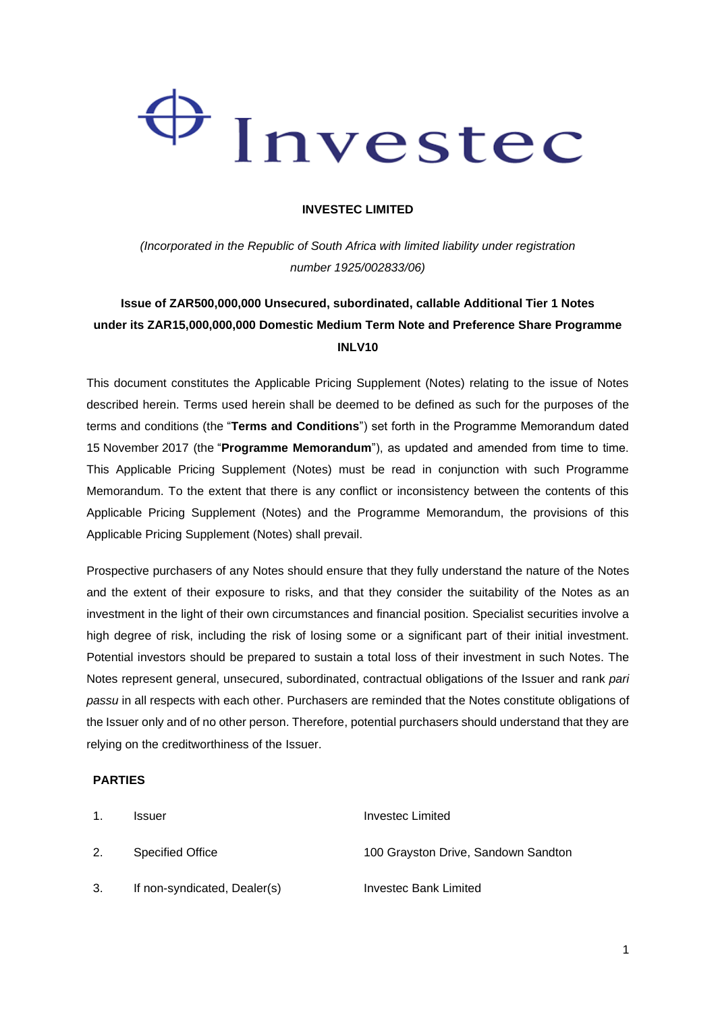# Investec

#### **INVESTEC LIMITED**

*(Incorporated in the Republic of South Africa with limited liability under registration number 1925/002833/06)*

## **Issue of ZAR500,000,000 Unsecured, subordinated, callable Additional Tier 1 Notes under its ZAR15,000,000,000 Domestic Medium Term Note and Preference Share Programme INLV10**

This document constitutes the Applicable Pricing Supplement (Notes) relating to the issue of Notes described herein. Terms used herein shall be deemed to be defined as such for the purposes of the terms and conditions (the "**Terms and Conditions**") set forth in the Programme Memorandum dated 15 November 2017 (the "**Programme Memorandum**"), as updated and amended from time to time. This Applicable Pricing Supplement (Notes) must be read in conjunction with such Programme Memorandum. To the extent that there is any conflict or inconsistency between the contents of this Applicable Pricing Supplement (Notes) and the Programme Memorandum, the provisions of this Applicable Pricing Supplement (Notes) shall prevail.

Prospective purchasers of any Notes should ensure that they fully understand the nature of the Notes and the extent of their exposure to risks, and that they consider the suitability of the Notes as an investment in the light of their own circumstances and financial position. Specialist securities involve a high degree of risk, including the risk of losing some or a significant part of their initial investment. Potential investors should be prepared to sustain a total loss of their investment in such Notes. The Notes represent general, unsecured, subordinated, contractual obligations of the Issuer and rank *pari passu* in all respects with each other. Purchasers are reminded that the Notes constitute obligations of the Issuer only and of no other person. Therefore, potential purchasers should understand that they are relying on the creditworthiness of the Issuer.

#### **PARTIES**

| $\mathbf{1}$ . | <b>Issuer</b>                | Investec Limited                    |
|----------------|------------------------------|-------------------------------------|
| 2.             | Specified Office             | 100 Grayston Drive, Sandown Sandton |
| 3.             | If non-syndicated, Dealer(s) | Investec Bank Limited               |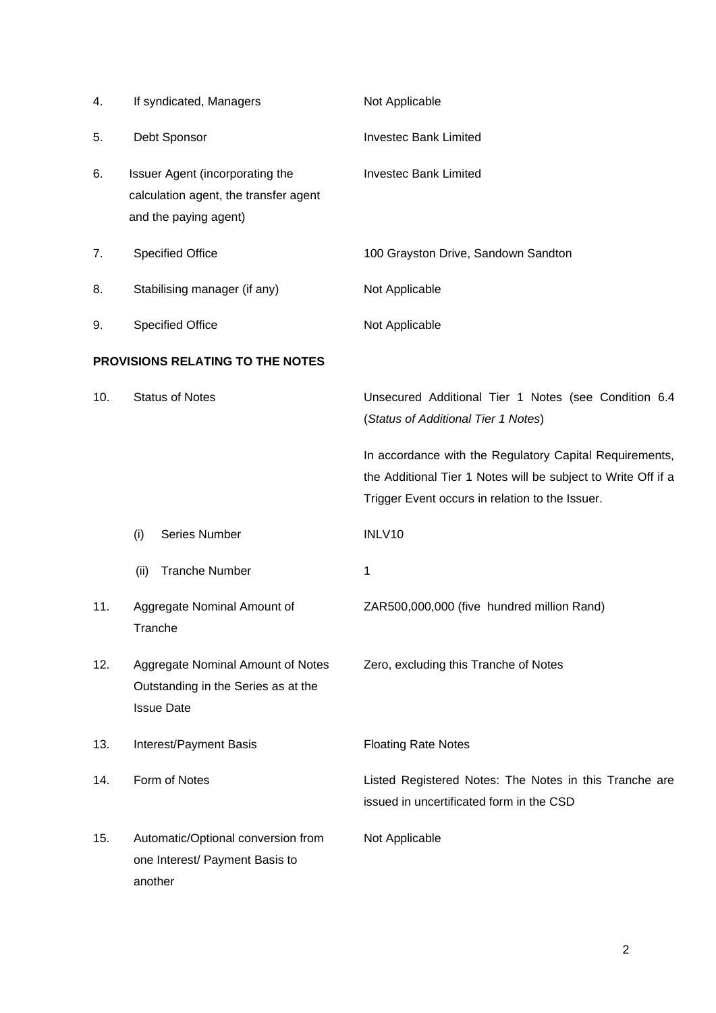| 4.  | If syndicated, Managers                                                                           | Not Applicable                                                                                                                                                              |
|-----|---------------------------------------------------------------------------------------------------|-----------------------------------------------------------------------------------------------------------------------------------------------------------------------------|
| 5.  | Debt Sponsor                                                                                      | <b>Investec Bank Limited</b>                                                                                                                                                |
| 6.  | Issuer Agent (incorporating the<br>calculation agent, the transfer agent<br>and the paying agent) | <b>Investec Bank Limited</b>                                                                                                                                                |
| 7.  | <b>Specified Office</b>                                                                           | 100 Grayston Drive, Sandown Sandton                                                                                                                                         |
| 8.  | Stabilising manager (if any)                                                                      | Not Applicable                                                                                                                                                              |
| 9.  | <b>Specified Office</b>                                                                           | Not Applicable                                                                                                                                                              |
|     | PROVISIONS RELATING TO THE NOTES                                                                  |                                                                                                                                                                             |
| 10. | <b>Status of Notes</b>                                                                            | Unsecured Additional Tier 1 Notes (see Condition 6.4<br>(Status of Additional Tier 1 Notes)                                                                                 |
|     |                                                                                                   | In accordance with the Regulatory Capital Requirements,<br>the Additional Tier 1 Notes will be subject to Write Off if a<br>Trigger Event occurs in relation to the Issuer. |
|     | Series Number<br>(i)                                                                              | INLV10                                                                                                                                                                      |
|     | <b>Tranche Number</b><br>(ii)                                                                     | 1                                                                                                                                                                           |
| 11. | Aggregate Nominal Amount of<br>Tranche                                                            | ZAR500,000,000 (five hundred million Rand)                                                                                                                                  |
| 12. | Aggregate Nominal Amount of Notes<br>Outstanding in the Series as at the<br><b>Issue Date</b>     | Zero, excluding this Tranche of Notes                                                                                                                                       |
| 13. | Interest/Payment Basis                                                                            | <b>Floating Rate Notes</b>                                                                                                                                                  |
| 14. | Form of Notes                                                                                     | Listed Registered Notes: The Notes in this Tranche are<br>issued in uncertificated form in the CSD                                                                          |
| 15. | Automatic/Optional conversion from<br>one Interest/ Payment Basis to<br>another                   | Not Applicable                                                                                                                                                              |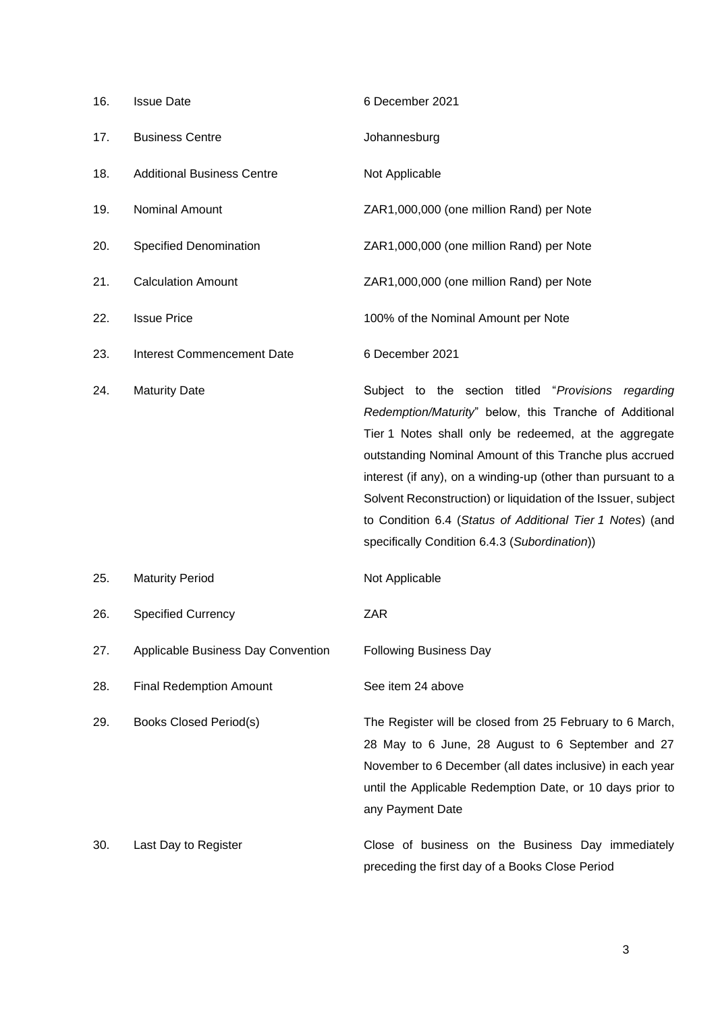| 16. | <b>Issue Date</b>                  | 6 December 2021                                                                                                                                                                                                                                                                                                                                                                                                                                                                  |
|-----|------------------------------------|----------------------------------------------------------------------------------------------------------------------------------------------------------------------------------------------------------------------------------------------------------------------------------------------------------------------------------------------------------------------------------------------------------------------------------------------------------------------------------|
| 17. | <b>Business Centre</b>             | Johannesburg                                                                                                                                                                                                                                                                                                                                                                                                                                                                     |
| 18. | <b>Additional Business Centre</b>  | Not Applicable                                                                                                                                                                                                                                                                                                                                                                                                                                                                   |
| 19. | Nominal Amount                     | ZAR1,000,000 (one million Rand) per Note                                                                                                                                                                                                                                                                                                                                                                                                                                         |
| 20. | Specified Denomination             | ZAR1,000,000 (one million Rand) per Note                                                                                                                                                                                                                                                                                                                                                                                                                                         |
| 21. | <b>Calculation Amount</b>          | ZAR1,000,000 (one million Rand) per Note                                                                                                                                                                                                                                                                                                                                                                                                                                         |
| 22. | <b>Issue Price</b>                 | 100% of the Nominal Amount per Note                                                                                                                                                                                                                                                                                                                                                                                                                                              |
| 23. | <b>Interest Commencement Date</b>  | 6 December 2021                                                                                                                                                                                                                                                                                                                                                                                                                                                                  |
| 24. | <b>Maturity Date</b>               | Subject to the section titled "Provisions regarding<br>Redemption/Maturity" below, this Tranche of Additional<br>Tier 1 Notes shall only be redeemed, at the aggregate<br>outstanding Nominal Amount of this Tranche plus accrued<br>interest (if any), on a winding-up (other than pursuant to a<br>Solvent Reconstruction) or liquidation of the Issuer, subject<br>to Condition 6.4 (Status of Additional Tier 1 Notes) (and<br>specifically Condition 6.4.3 (Subordination)) |
| 25. | <b>Maturity Period</b>             | Not Applicable                                                                                                                                                                                                                                                                                                                                                                                                                                                                   |
| 26. | <b>Specified Currency</b>          | <b>ZAR</b>                                                                                                                                                                                                                                                                                                                                                                                                                                                                       |
| 27. | Applicable Business Day Convention | <b>Following Business Day</b>                                                                                                                                                                                                                                                                                                                                                                                                                                                    |
| 28. | <b>Final Redemption Amount</b>     | See item 24 above                                                                                                                                                                                                                                                                                                                                                                                                                                                                |
| 29. | <b>Books Closed Period(s)</b>      | The Register will be closed from 25 February to 6 March,<br>28 May to 6 June, 28 August to 6 September and 27<br>November to 6 December (all dates inclusive) in each year<br>until the Applicable Redemption Date, or 10 days prior to<br>any Payment Date                                                                                                                                                                                                                      |
| 30. | Last Day to Register               | Close of business on the Business Day immediately<br>preceding the first day of a Books Close Period                                                                                                                                                                                                                                                                                                                                                                             |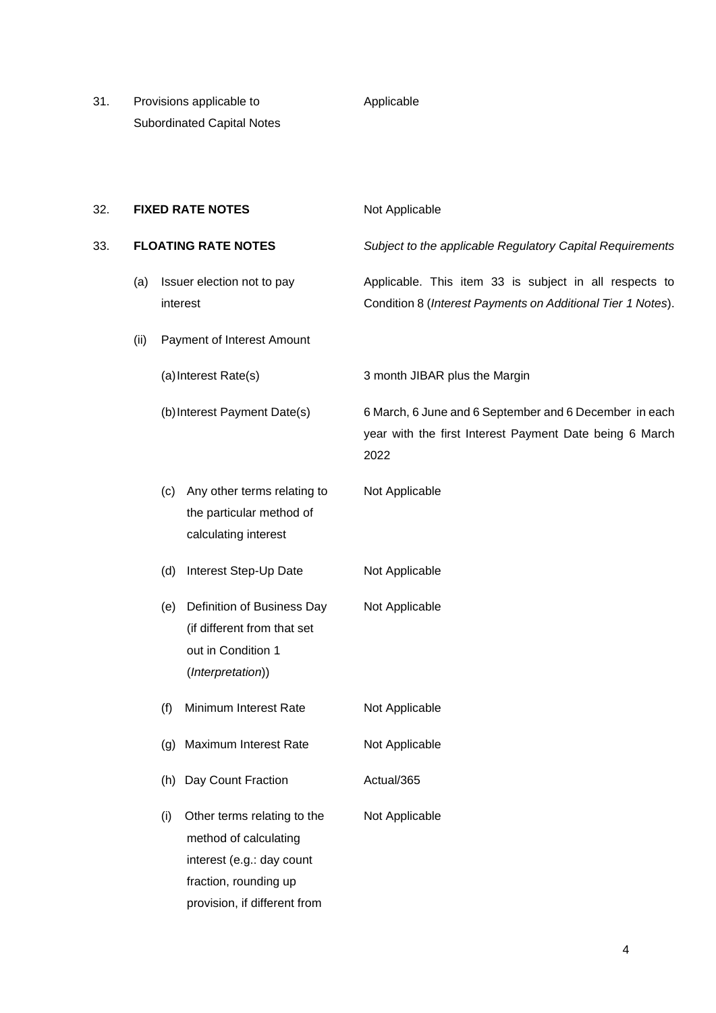31. Provisions applicable to Subordinated Capital Notes

#### Applicable

| 32. |                            |     | <b>FIXED RATE NOTES</b>                                                                                                                    | Not Applicable                                                                                                            |
|-----|----------------------------|-----|--------------------------------------------------------------------------------------------------------------------------------------------|---------------------------------------------------------------------------------------------------------------------------|
| 33. | <b>FLOATING RATE NOTES</b> |     |                                                                                                                                            | Subject to the applicable Regulatory Capital Requirements                                                                 |
|     | (a)                        |     | Issuer election not to pay<br>interest                                                                                                     | Applicable. This item 33 is subject in all respects to<br>Condition 8 (Interest Payments on Additional Tier 1 Notes).     |
|     | (ii)                       |     | Payment of Interest Amount                                                                                                                 |                                                                                                                           |
|     |                            |     | (a) Interest Rate(s)                                                                                                                       | 3 month JIBAR plus the Margin                                                                                             |
|     |                            |     | (b) Interest Payment Date(s)                                                                                                               | 6 March, 6 June and 6 September and 6 December in each<br>year with the first Interest Payment Date being 6 March<br>2022 |
|     |                            | (c) | Any other terms relating to<br>the particular method of<br>calculating interest                                                            | Not Applicable                                                                                                            |
|     |                            | (d) | Interest Step-Up Date                                                                                                                      | Not Applicable                                                                                                            |
|     |                            | (e) | Definition of Business Day<br>(if different from that set<br>out in Condition 1<br>(Interpretation))                                       | Not Applicable                                                                                                            |
|     |                            | (f) | Minimum Interest Rate                                                                                                                      | Not Applicable                                                                                                            |
|     |                            | (g) | Maximum Interest Rate                                                                                                                      | Not Applicable                                                                                                            |
|     |                            | (h) | Day Count Fraction                                                                                                                         | Actual/365                                                                                                                |
|     |                            | (i) | Other terms relating to the<br>method of calculating<br>interest (e.g.: day count<br>fraction, rounding up<br>provision, if different from | Not Applicable                                                                                                            |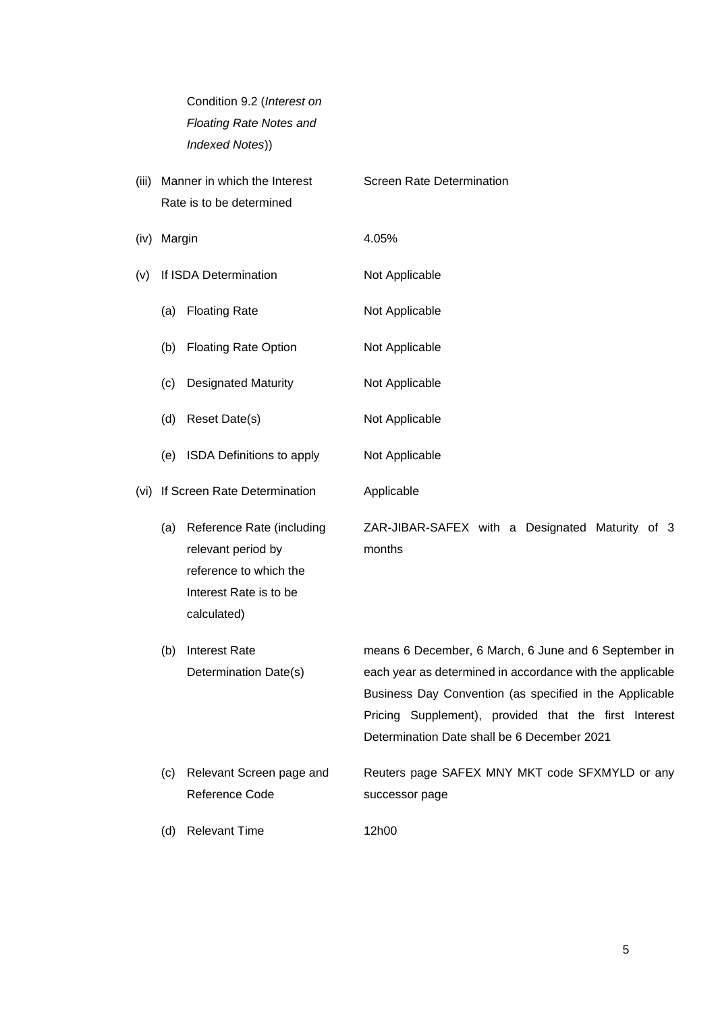| Condition 9.2 (Interest on     |
|--------------------------------|
| <b>Floating Rate Notes and</b> |
| Indexed Notes))                |

| (iii) |        | Manner in which the Interest<br>Rate is to be determined | Screen Rate Determination |
|-------|--------|----------------------------------------------------------|---------------------------|
|       |        |                                                          |                           |
| (iv)  | Margin |                                                          | 4.05%                     |
| (v)   |        | If ISDA Determination                                    | Not Applicable            |
|       | (a)    | <b>Floating Rate</b>                                     | Not Applicable            |
|       | (b)    | <b>Floating Rate Option</b>                              | Not Applicable            |
|       | (c)    | <b>Designated Maturity</b>                               | Not Applicable            |
|       | (d)    | Reset Date(s)                                            | Not Applicable            |
|       | (e)    | <b>ISDA Definitions to apply</b>                         | Not Applicable            |
| (vi)  |        | If Screen Rate Determination                             | Applicable                |

(a) Reference Rate (including relevant period by reference to which the Interest Rate is to be calculated) ZAR-JIBAR-SAFEX with a Designated Maturity of 3 months

- (b) Interest Rate Determination Date(s) means 6 December, 6 March, 6 June and 6 September in each year as determined in accordance with the applicable Business Day Convention (as specified in the Applicable Pricing Supplement), provided that the first Interest Determination Date shall be 6 December 2021 (c) Relevant Screen page and Reuters page SAFEX MNY MKT code SFXMYLD or any
	- Reference Code successor page
- (d) Relevant Time 12h00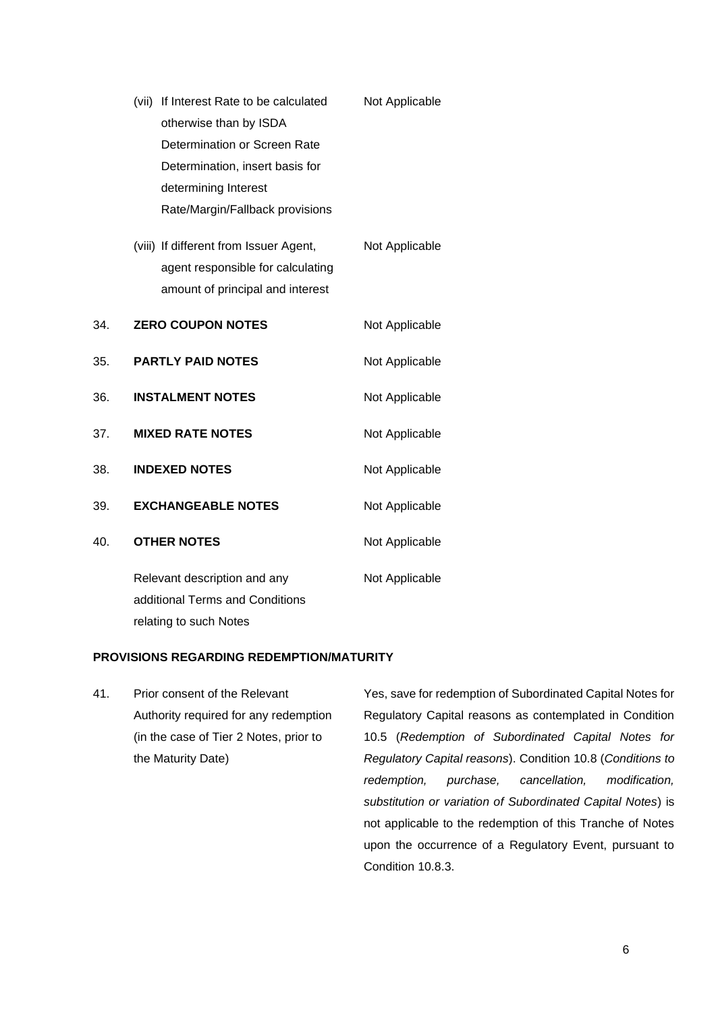|     | (vii) If Interest Rate to be calculated                                                                         | Not Applicable |
|-----|-----------------------------------------------------------------------------------------------------------------|----------------|
|     | otherwise than by ISDA<br>Determination or Screen Rate                                                          |                |
|     | Determination, insert basis for                                                                                 |                |
|     | determining Interest                                                                                            |                |
|     | Rate/Margin/Fallback provisions                                                                                 |                |
|     | (viii) If different from Issuer Agent,<br>agent responsible for calculating<br>amount of principal and interest | Not Applicable |
| 34. | <b>ZERO COUPON NOTES</b>                                                                                        | Not Applicable |
| 35. | <b>PARTLY PAID NOTES</b>                                                                                        | Not Applicable |
| 36. | <b>INSTALMENT NOTES</b>                                                                                         | Not Applicable |
| 37. | <b>MIXED RATE NOTES</b>                                                                                         | Not Applicable |
| 38. | <b>INDEXED NOTES</b>                                                                                            | Not Applicable |
| 39. | <b>EXCHANGEABLE NOTES</b>                                                                                       | Not Applicable |
| 40. | <b>OTHER NOTES</b>                                                                                              | Not Applicable |
|     | Relevant description and any<br>additional Terms and Conditions<br>relating to such Notes                       | Not Applicable |

#### **PROVISIONS REGARDING REDEMPTION/MATURITY**

41. Prior consent of the Relevant Authority required for any redemption (in the case of Tier 2 Notes, prior to the Maturity Date)

Yes, save for redemption of Subordinated Capital Notes for Regulatory Capital reasons as contemplated in Condition 10.5 (*Redemption of Subordinated Capital Notes for Regulatory Capital reasons*). Condition 10.8 (*Conditions to redemption, purchase, cancellation, modification, substitution or variation of Subordinated Capital Notes*) is not applicable to the redemption of this Tranche of Notes upon the occurrence of a Regulatory Event, pursuant to Condition 10.8.3.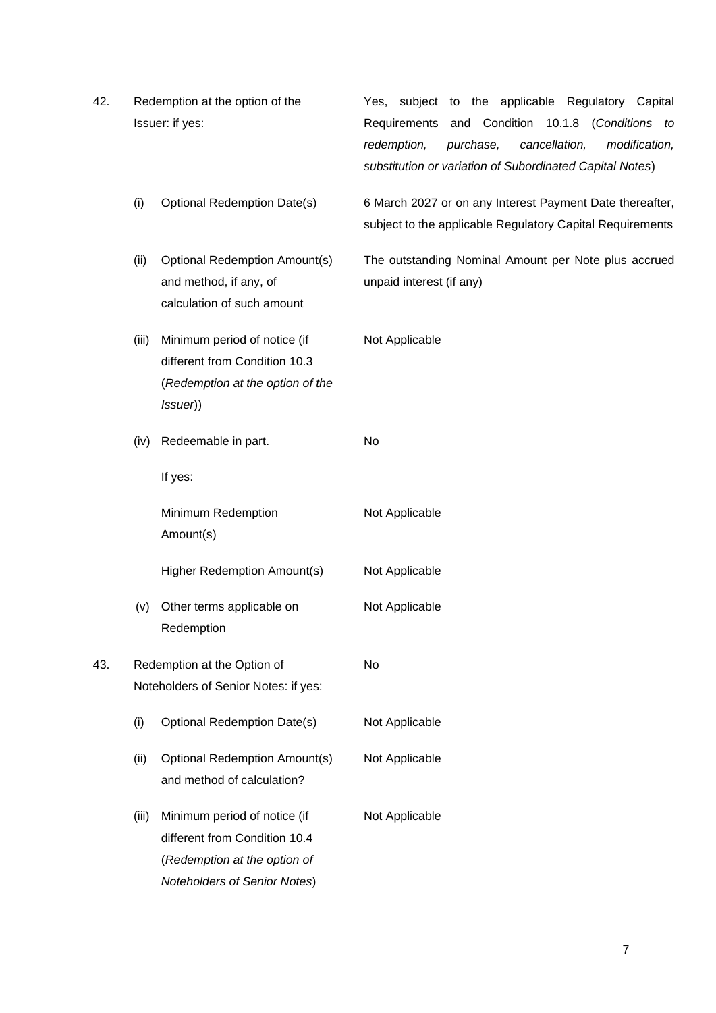| 42. | Redemption at the option of the<br>Issuer: if yes: |                                                                                                                               | subject to the applicable Regulatory Capital<br>Yes.<br>Requirements and Condition 10.1.8<br>(Conditions to<br>purchase,<br>cancellation,<br>redemption,<br>modification,<br>substitution or variation of Subordinated Capital Notes) |
|-----|----------------------------------------------------|-------------------------------------------------------------------------------------------------------------------------------|---------------------------------------------------------------------------------------------------------------------------------------------------------------------------------------------------------------------------------------|
|     | (i)                                                | <b>Optional Redemption Date(s)</b>                                                                                            | 6 March 2027 or on any Interest Payment Date thereafter,<br>subject to the applicable Regulatory Capital Requirements                                                                                                                 |
|     | (ii)                                               | <b>Optional Redemption Amount(s)</b><br>and method, if any, of<br>calculation of such amount                                  | The outstanding Nominal Amount per Note plus accrued<br>unpaid interest (if any)                                                                                                                                                      |
|     | (iii)                                              | Minimum period of notice (if<br>different from Condition 10.3<br>(Redemption at the option of the<br>(ssuer)                  | Not Applicable                                                                                                                                                                                                                        |
|     | (iv)                                               | Redeemable in part.                                                                                                           | No                                                                                                                                                                                                                                    |
|     |                                                    | If yes:                                                                                                                       |                                                                                                                                                                                                                                       |
|     |                                                    | Minimum Redemption<br>Amount(s)                                                                                               | Not Applicable                                                                                                                                                                                                                        |
|     |                                                    | Higher Redemption Amount(s)                                                                                                   | Not Applicable                                                                                                                                                                                                                        |
|     | (v)                                                | Other terms applicable on<br>Redemption                                                                                       | Not Applicable                                                                                                                                                                                                                        |
| 43. |                                                    | Redemption at the Option of<br>Noteholders of Senior Notes: if yes:                                                           | No                                                                                                                                                                                                                                    |
|     | (i)                                                | <b>Optional Redemption Date(s)</b>                                                                                            | Not Applicable                                                                                                                                                                                                                        |
|     | (ii)                                               | <b>Optional Redemption Amount(s)</b><br>and method of calculation?                                                            | Not Applicable                                                                                                                                                                                                                        |
|     | (iii)                                              | Minimum period of notice (if<br>different from Condition 10.4<br>(Redemption at the option of<br>Noteholders of Senior Notes) | Not Applicable                                                                                                                                                                                                                        |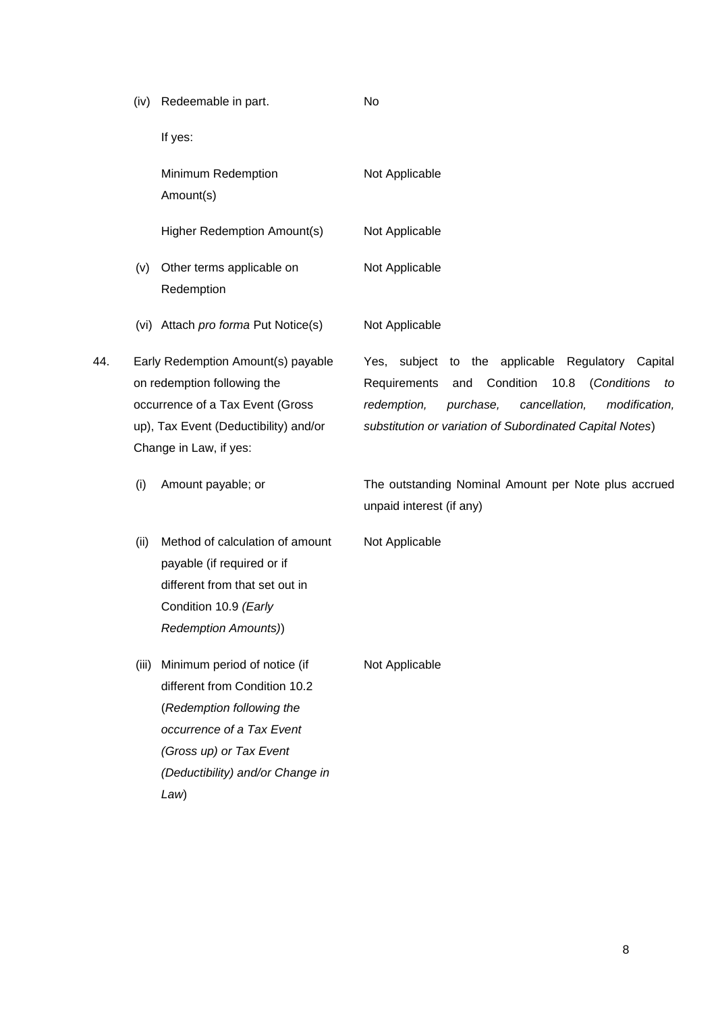|     |      | If yes:                                                                                                                                                                                              |                                                                                                                                                                                                                                              |
|-----|------|------------------------------------------------------------------------------------------------------------------------------------------------------------------------------------------------------|----------------------------------------------------------------------------------------------------------------------------------------------------------------------------------------------------------------------------------------------|
|     |      | Minimum Redemption<br>Amount(s)                                                                                                                                                                      | Not Applicable                                                                                                                                                                                                                               |
|     |      | Higher Redemption Amount(s)                                                                                                                                                                          | Not Applicable                                                                                                                                                                                                                               |
|     | (v)  | Other terms applicable on<br>Redemption                                                                                                                                                              | Not Applicable                                                                                                                                                                                                                               |
|     |      | (vi) Attach pro forma Put Notice(s)                                                                                                                                                                  | Not Applicable                                                                                                                                                                                                                               |
| 44. |      | Early Redemption Amount(s) payable<br>on redemption following the<br>occurrence of a Tax Event (Gross<br>up), Tax Event (Deductibility) and/or<br>Change in Law, if yes:                             | Yes, subject to the applicable Regulatory Capital<br>Condition<br>10.8<br>(Conditions<br>Requirements<br>and<br>to<br>redemption,<br>purchase,<br>cancellation,<br>modification,<br>substitution or variation of Subordinated Capital Notes) |
|     | (i)  | Amount payable; or                                                                                                                                                                                   | The outstanding Nominal Amount per Note plus accrued<br>unpaid interest (if any)                                                                                                                                                             |
|     | (ii) | Method of calculation of amount<br>payable (if required or if<br>different from that set out in<br>Condition 10.9 (Early<br><b>Redemption Amounts))</b>                                              | Not Applicable                                                                                                                                                                                                                               |
|     |      | (iii) Minimum period of notice (if<br>different from Condition 10.2<br>(Redemption following the<br>occurrence of a Tax Event<br>(Gross up) or Tax Event<br>(Deductibility) and/or Change in<br>Law) | Not Applicable                                                                                                                                                                                                                               |
|     |      |                                                                                                                                                                                                      |                                                                                                                                                                                                                                              |

No

(iv) Redeemable in part.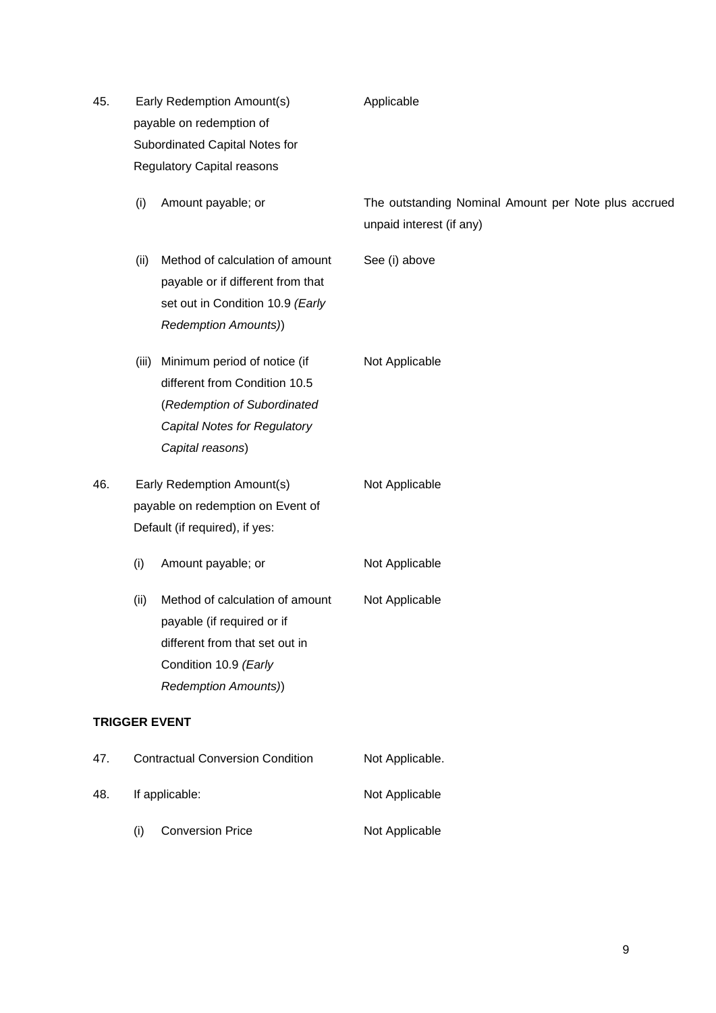| 45.                  |                          | Early Redemption Amount(s)                                                                                                                              | Applicable                                                                       |  |  |
|----------------------|--------------------------|---------------------------------------------------------------------------------------------------------------------------------------------------------|----------------------------------------------------------------------------------|--|--|
|                      | payable on redemption of |                                                                                                                                                         |                                                                                  |  |  |
|                      |                          | Subordinated Capital Notes for                                                                                                                          |                                                                                  |  |  |
|                      |                          | <b>Regulatory Capital reasons</b>                                                                                                                       |                                                                                  |  |  |
|                      | (i)                      | Amount payable; or                                                                                                                                      | The outstanding Nominal Amount per Note plus accrued<br>unpaid interest (if any) |  |  |
|                      | (ii)                     | Method of calculation of amount<br>payable or if different from that<br>set out in Condition 10.9 (Early<br><b>Redemption Amounts))</b>                 | See (i) above                                                                    |  |  |
|                      | (iii)                    | Minimum period of notice (if<br>different from Condition 10.5<br>(Redemption of Subordinated<br>Capital Notes for Regulatory<br>Capital reasons)        | Not Applicable                                                                   |  |  |
| 46.                  |                          | Early Redemption Amount(s)<br>payable on redemption on Event of<br>Default (if required), if yes:                                                       | Not Applicable                                                                   |  |  |
|                      | (i)                      | Amount payable; or                                                                                                                                      | Not Applicable                                                                   |  |  |
|                      | (ii)                     | Method of calculation of amount<br>payable (if required or if<br>different from that set out in<br>Condition 10.9 (Early<br><b>Redemption Amounts))</b> | Not Applicable                                                                   |  |  |
| <b>TRIGGER EVENT</b> |                          |                                                                                                                                                         |                                                                                  |  |  |
| 47.                  |                          | <b>Contractual Conversion Condition</b>                                                                                                                 | Not Applicable.                                                                  |  |  |
| 48.                  |                          | If applicable:                                                                                                                                          | Not Applicable                                                                   |  |  |
|                      | (i)                      | <b>Conversion Price</b>                                                                                                                                 | Not Applicable                                                                   |  |  |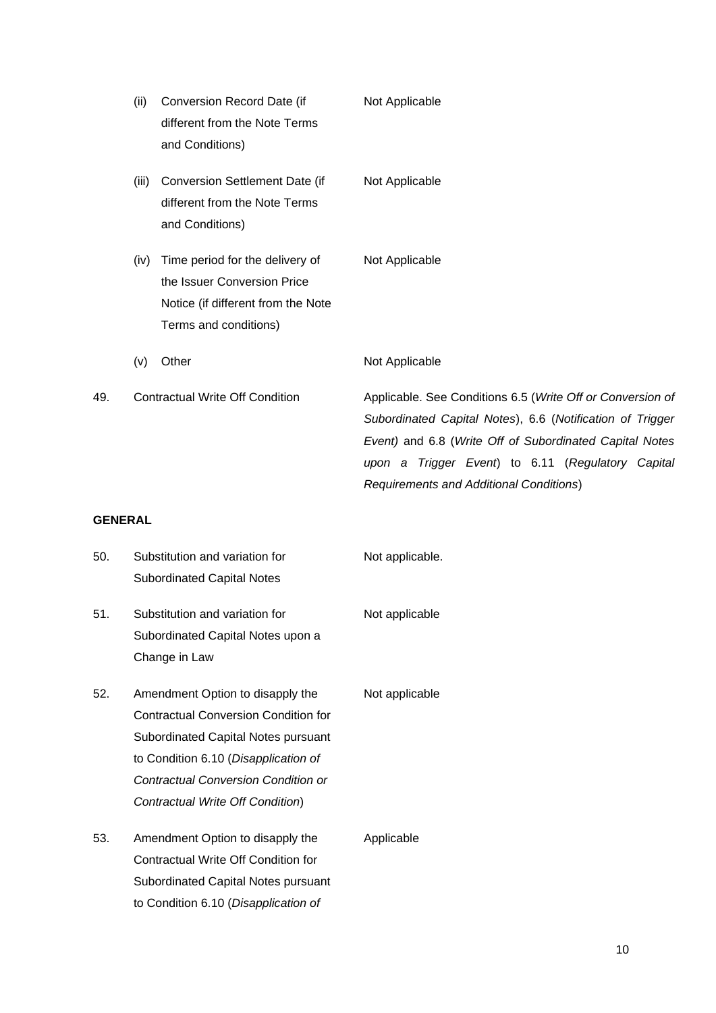|                | (ii)  | Conversion Record Date (if<br>different from the Note Terms<br>and Conditions)                                                | Not Applicable                                                                                                                                                                                                                                                                            |
|----------------|-------|-------------------------------------------------------------------------------------------------------------------------------|-------------------------------------------------------------------------------------------------------------------------------------------------------------------------------------------------------------------------------------------------------------------------------------------|
|                | (iii) | Conversion Settlement Date (if<br>different from the Note Terms<br>and Conditions)                                            | Not Applicable                                                                                                                                                                                                                                                                            |
|                | (iv)  | Time period for the delivery of<br>the Issuer Conversion Price<br>Notice (if different from the Note<br>Terms and conditions) | Not Applicable                                                                                                                                                                                                                                                                            |
|                | (v)   | Other                                                                                                                         | Not Applicable                                                                                                                                                                                                                                                                            |
| 49.            |       | <b>Contractual Write Off Condition</b>                                                                                        | Applicable. See Conditions 6.5 (Write Off or Conversion of<br>Subordinated Capital Notes), 6.6 (Notification of Trigger<br>Event) and 6.8 (Write Off of Subordinated Capital Notes<br>upon a Trigger Event) to 6.11 (Regulatory Capital<br><b>Requirements and Additional Conditions)</b> |
| <b>GENERAL</b> |       |                                                                                                                               |                                                                                                                                                                                                                                                                                           |
| 50.            |       | Substitution and variation for<br><b>Subordinated Capital Notes</b>                                                           | Not applicable.                                                                                                                                                                                                                                                                           |
| 51.            |       | Substitution and variation for<br>Subordinated Capital Notes upon a<br>Change in Law                                          | Not applicable                                                                                                                                                                                                                                                                            |

- 52. Amendment Option to disapply the Contractual Conversion Condition for Subordinated Capital Notes pursuant to Condition 6.10 (*Disapplication of Contractual Conversion Condition or Contractual Write Off Condition*)
- 53. Amendment Option to disapply the Contractual Write Off Condition for Subordinated Capital Notes pursuant to Condition 6.10 (*Disapplication of*  Applicable

Not applicable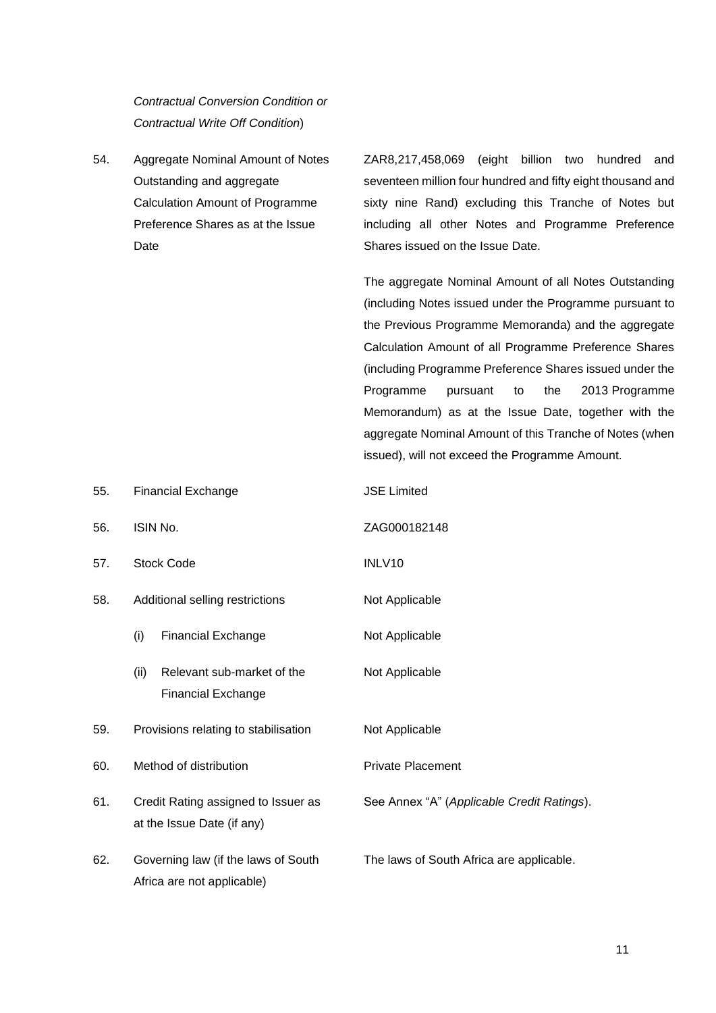*Contractual Conversion Condition or Contractual Write Off Condition*)

55. Financial Exchange JSE Limited

54. Aggregate Nominal Amount of Notes Outstanding and aggregate Calculation Amount of Programme Preference Shares as at the Issue Date

ZAR8,217,458,069 (eight billion two hundred and seventeen million four hundred and fifty eight thousand and sixty nine Rand) excluding this Tranche of Notes but including all other Notes and Programme Preference Shares issued on the Issue Date.

The aggregate Nominal Amount of all Notes Outstanding (including Notes issued under the Programme pursuant to the Previous Programme Memoranda) and the aggregate Calculation Amount of all Programme Preference Shares (including Programme Preference Shares issued under the Programme pursuant to the 2013 Programme Memorandum) as at the Issue Date, together with the aggregate Nominal Amount of this Tranche of Notes (when issued), will not exceed the Programme Amount.

| 56. | ISIN No.                                                          | ZAG000182148                               |
|-----|-------------------------------------------------------------------|--------------------------------------------|
| 57. | <b>Stock Code</b>                                                 | INLV10                                     |
| 58. | Additional selling restrictions                                   | Not Applicable                             |
|     | (i)<br><b>Financial Exchange</b>                                  | Not Applicable                             |
|     | Relevant sub-market of the<br>(ii)<br><b>Financial Exchange</b>   | Not Applicable                             |
| 59. | Provisions relating to stabilisation                              | Not Applicable                             |
| 60. | Method of distribution                                            | <b>Private Placement</b>                   |
| 61. | Credit Rating assigned to Issuer as<br>at the Issue Date (if any) | See Annex "A" (Applicable Credit Ratings). |
| 62. | Governing law (if the laws of South<br>Africa are not applicable) | The laws of South Africa are applicable.   |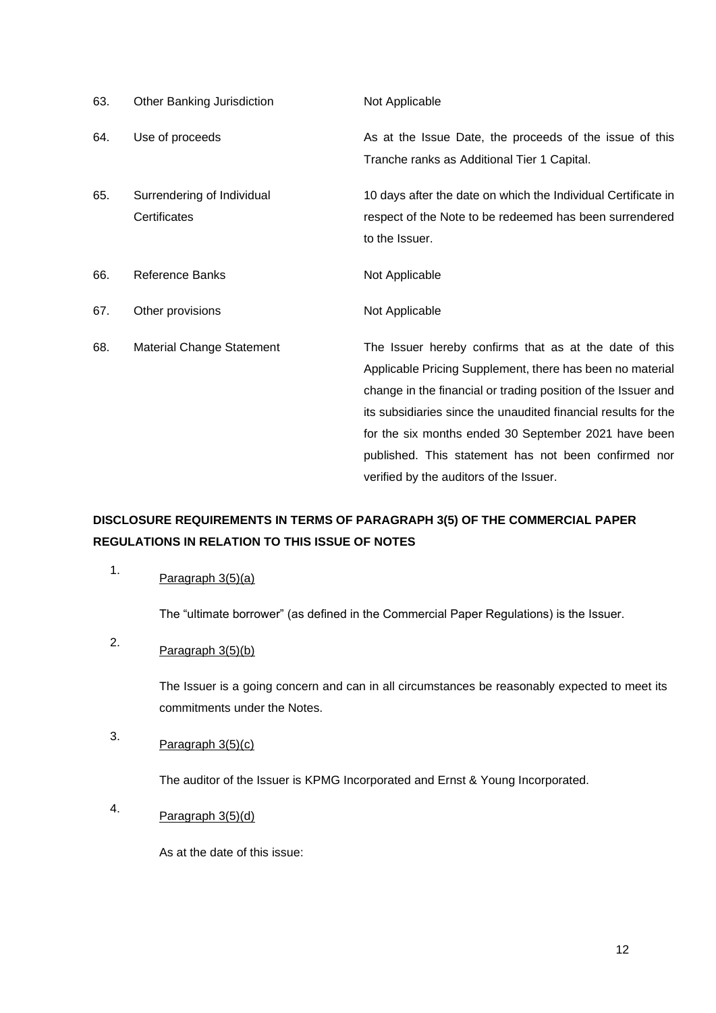| 63. | Other Banking Jurisdiction | Not Applicable                                                 |
|-----|----------------------------|----------------------------------------------------------------|
| 64. | Use of proceeds            | As at the Issue Date, the proceeds of the issue of this        |
|     |                            | Tranche ranks as Additional Tier 1 Capital.                    |
| 65. | Surrendering of Individual | 10 days after the date on which the Individual Certificate in  |
|     | Certificates               | respect of the Note to be redeemed has been surrendered        |
|     |                            | to the Issuer.                                                 |
| 66. | Reference Banks            | Not Applicable                                                 |
| 67. | Other provisions           | Not Applicable                                                 |
| 68. | Material Change Statement  | The Issuer hereby confirms that as at the date of this         |
|     |                            | Applicable Pricing Supplement, there has been no material      |
|     |                            | change in the financial or trading position of the Issuer and  |
|     |                            | its subsidiaries since the unaudited financial results for the |
|     |                            | for the six months ended 30 September 2021 have been           |
|     |                            | published. This statement has not been confirmed nor           |
|     |                            | verified by the auditors of the Issuer.                        |

#### **DISCLOSURE REQUIREMENTS IN TERMS OF PARAGRAPH 3(5) OF THE COMMERCIAL PAPER REGULATIONS IN RELATION TO THIS ISSUE OF NOTES**

## 1. Paragraph  $3(5)(a)$

The "ultimate borrower" (as defined in the Commercial Paper Regulations) is the Issuer.

# 2. Paragraph  $3(5)(b)$

The Issuer is a going concern and can in all circumstances be reasonably expected to meet its commitments under the Notes.

# 3. Paragraph  $3(5)(c)$

The auditor of the Issuer is KPMG Incorporated and Ernst & Young Incorporated.

4. Paragraph  $3(5)(d)$ 

As at the date of this issue: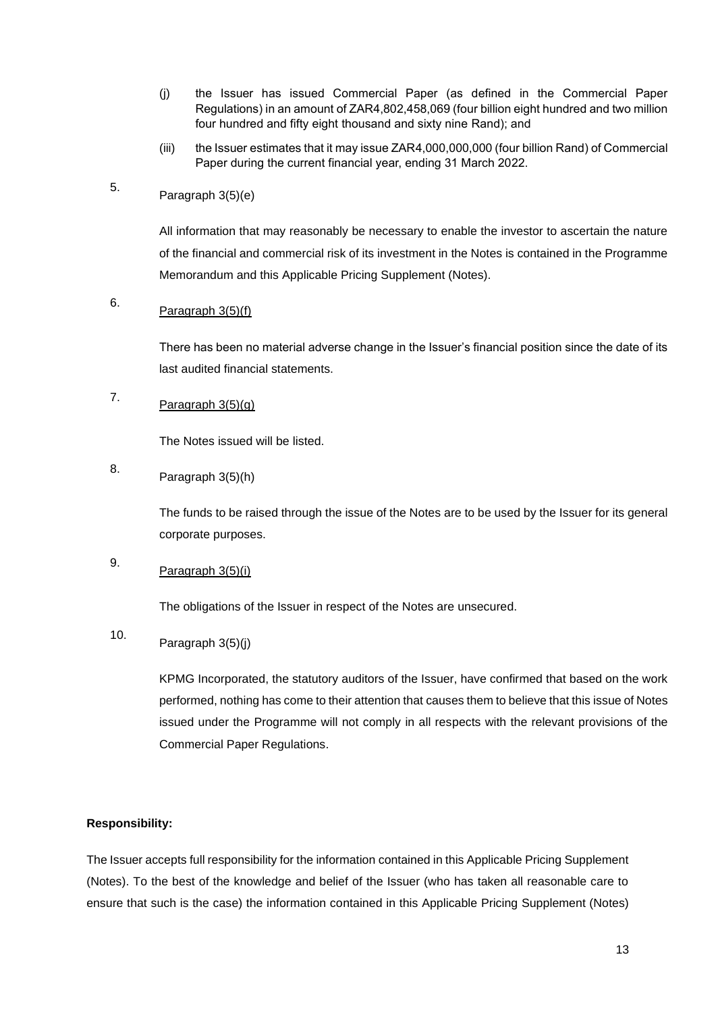- (j) the Issuer has issued Commercial Paper (as defined in the Commercial Paper Regulations) in an amount of ZAR4,802,458,069 (four billion eight hundred and two million four hundred and fifty eight thousand and sixty nine Rand); and
- (iii) the Issuer estimates that it may issue ZAR4,000,000,000 (four billion Rand) of Commercial Paper during the current financial year, ending 31 March 2022.

## 5. Paragraph 3(5)(e)

All information that may reasonably be necessary to enable the investor to ascertain the nature of the financial and commercial risk of its investment in the Notes is contained in the Programme Memorandum and this Applicable Pricing Supplement (Notes).

## 6. Paragraph 3(5)(f)

There has been no material adverse change in the Issuer's financial position since the date of its last audited financial statements.

## 7. Paragraph  $3(5)(g)$

The Notes issued will be listed.

## 8. Paragraph 3(5)(h)

The funds to be raised through the issue of the Notes are to be used by the Issuer for its general corporate purposes.

## 9. Paragraph 3(5)(i)

The obligations of the Issuer in respect of the Notes are unsecured.

## 10. Paragraph 3(5)(j)

KPMG Incorporated, the statutory auditors of the Issuer, have confirmed that based on the work performed, nothing has come to their attention that causes them to believe that this issue of Notes issued under the Programme will not comply in all respects with the relevant provisions of the Commercial Paper Regulations.

#### **Responsibility:**

The Issuer accepts full responsibility for the information contained in this Applicable Pricing Supplement (Notes). To the best of the knowledge and belief of the Issuer (who has taken all reasonable care to ensure that such is the case) the information contained in this Applicable Pricing Supplement (Notes)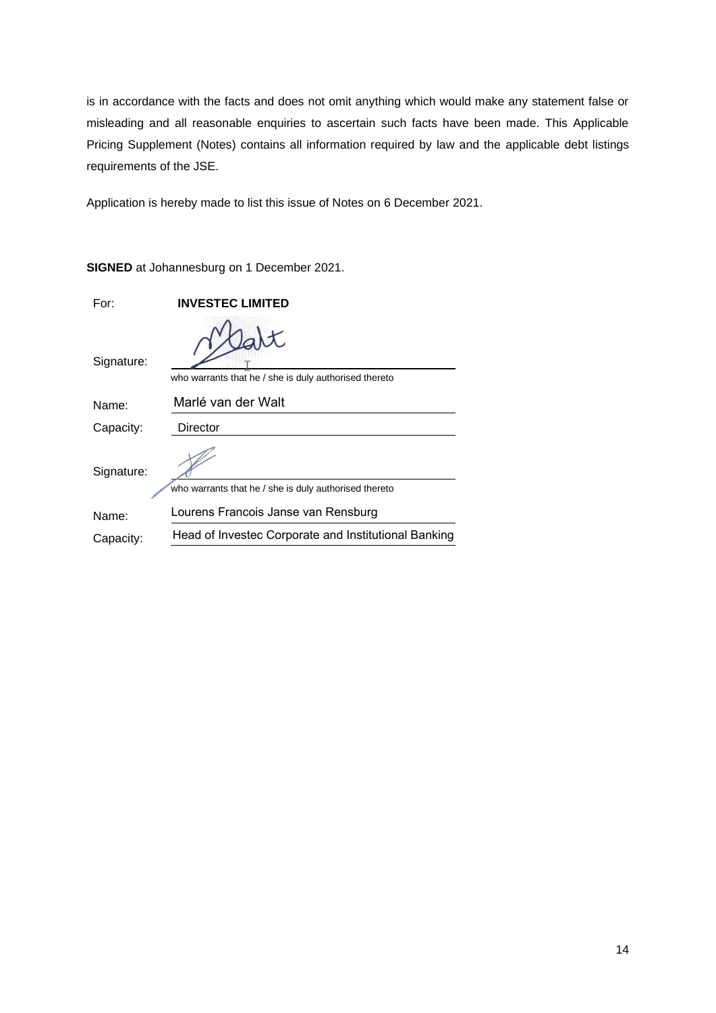is in accordance with the facts and does not omit anything which would make any statement false or misleading and all reasonable enquiries to ascertain such facts have been made. This Applicable Pricing Supplement (Notes) contains all information required by law and the applicable debt listings requirements of the JSE.

Application is hereby made to list this issue of Notes on 6 December 2021.

| For:       | <b>INVESTEC LIMITED</b>                               |
|------------|-------------------------------------------------------|
| Signature: | who warrants that he / she is duly authorised thereto |
| Name:      | Marlé van der Walt                                    |
| Capacity:  | Director                                              |
| Signature: | who warrants that he / she is duly authorised thereto |
| Name:      | Lourens Francois Janse van Rensburg                   |
| Capacity:  | Head of Investec Corporate and Institutional Banking  |

**SIGNED** at Johannesburg on 1 December 2021.